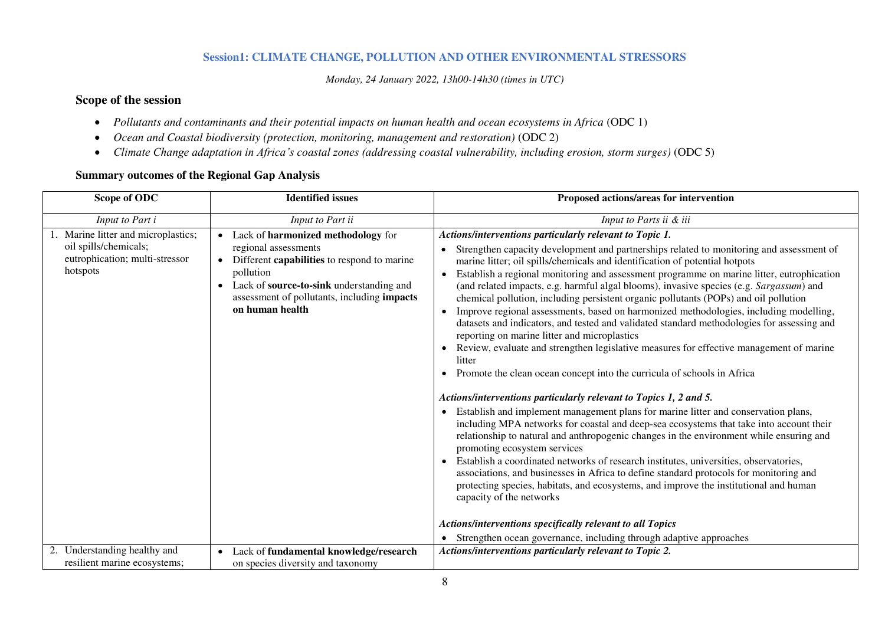# **Session1: CLIMATE CHANGE, POLLUTION AND OTHER ENVIRONMENTAL STRESSORS**

*Monday, 24 January 2022, 13h00-14h30 (times in UTC)* 

# **Scope of the session**

- *Pollutants and contaminants and their potential impacts on human health and ocean ecosystems in Africa* (ODC 1)
- Ocean and Coastal biodiversity (protection, monitoring, management and restoration) (ODC 2)
- *Climate Change adaptation in Africa's coastal zones (addressing coastal vulnerability, including erosion, storm surges)* (ODC 5)

| Scope of ODC                                                                                                                            | <b>Identified</b> issues                                                                                                                                                                                                                                                                                                           | Proposed actions/areas for intervention                                                                                                                                                                                                                                                                                                                                                                                                                                                                                                                                                                                                                                                                                                                                                                                                                                                                                                                                                                                                                                                                                                                                                                                                                                                                                                                                                                                                                                                                                                                                                                                                                                                                                                                                                                                                         |
|-----------------------------------------------------------------------------------------------------------------------------------------|------------------------------------------------------------------------------------------------------------------------------------------------------------------------------------------------------------------------------------------------------------------------------------------------------------------------------------|-------------------------------------------------------------------------------------------------------------------------------------------------------------------------------------------------------------------------------------------------------------------------------------------------------------------------------------------------------------------------------------------------------------------------------------------------------------------------------------------------------------------------------------------------------------------------------------------------------------------------------------------------------------------------------------------------------------------------------------------------------------------------------------------------------------------------------------------------------------------------------------------------------------------------------------------------------------------------------------------------------------------------------------------------------------------------------------------------------------------------------------------------------------------------------------------------------------------------------------------------------------------------------------------------------------------------------------------------------------------------------------------------------------------------------------------------------------------------------------------------------------------------------------------------------------------------------------------------------------------------------------------------------------------------------------------------------------------------------------------------------------------------------------------------------------------------------------------------|
| Input to Part i                                                                                                                         | Input to Part ii                                                                                                                                                                                                                                                                                                                   | Input to Parts ii & iii                                                                                                                                                                                                                                                                                                                                                                                                                                                                                                                                                                                                                                                                                                                                                                                                                                                                                                                                                                                                                                                                                                                                                                                                                                                                                                                                                                                                                                                                                                                                                                                                                                                                                                                                                                                                                         |
| Marine litter and microplastics;<br>oil spills/chemicals;<br>eutrophication; multi-stressor<br>hotspots<br>2. Understanding healthy and | Lack of harmonized methodology for<br>$\bullet$<br>regional assessments<br>Different capabilities to respond to marine<br>$\bullet$<br>pollution<br>Lack of source-to-sink understanding and<br>$\bullet$<br>assessment of pollutants, including impacts<br>on human health<br>Lack of fundamental knowledge/research<br>$\bullet$ | Actions/interventions particularly relevant to Topic 1.<br>• Strengthen capacity development and partnerships related to monitoring and assessment of<br>marine litter; oil spills/chemicals and identification of potential hotpots<br>Establish a regional monitoring and assessment programme on marine litter, eutrophication<br>$\bullet$<br>(and related impacts, e.g. harmful algal blooms), invasive species (e.g. Sargassum) and<br>chemical pollution, including persistent organic pollutants (POPs) and oil pollution<br>Improve regional assessments, based on harmonized methodologies, including modelling,<br>datasets and indicators, and tested and validated standard methodologies for assessing and<br>reporting on marine litter and microplastics<br>Review, evaluate and strengthen legislative measures for effective management of marine<br>litter<br>Promote the clean ocean concept into the curricula of schools in Africa<br>Actions/interventions particularly relevant to Topics 1, 2 and 5.<br>Establish and implement management plans for marine litter and conservation plans,<br>including MPA networks for coastal and deep-sea ecosystems that take into account their<br>relationship to natural and anthropogenic changes in the environment while ensuring and<br>promoting ecosystem services<br>Establish a coordinated networks of research institutes, universities, observatories,<br>associations, and businesses in Africa to define standard protocols for monitoring and<br>protecting species, habitats, and ecosystems, and improve the institutional and human<br>capacity of the networks<br>Actions/interventions specifically relevant to all Topics<br>Strengthen ocean governance, including through adaptive approaches<br>Actions/interventions particularly relevant to Topic 2. |
| resilient marine ecosystems;                                                                                                            | on species diversity and taxonomy                                                                                                                                                                                                                                                                                                  |                                                                                                                                                                                                                                                                                                                                                                                                                                                                                                                                                                                                                                                                                                                                                                                                                                                                                                                                                                                                                                                                                                                                                                                                                                                                                                                                                                                                                                                                                                                                                                                                                                                                                                                                                                                                                                                 |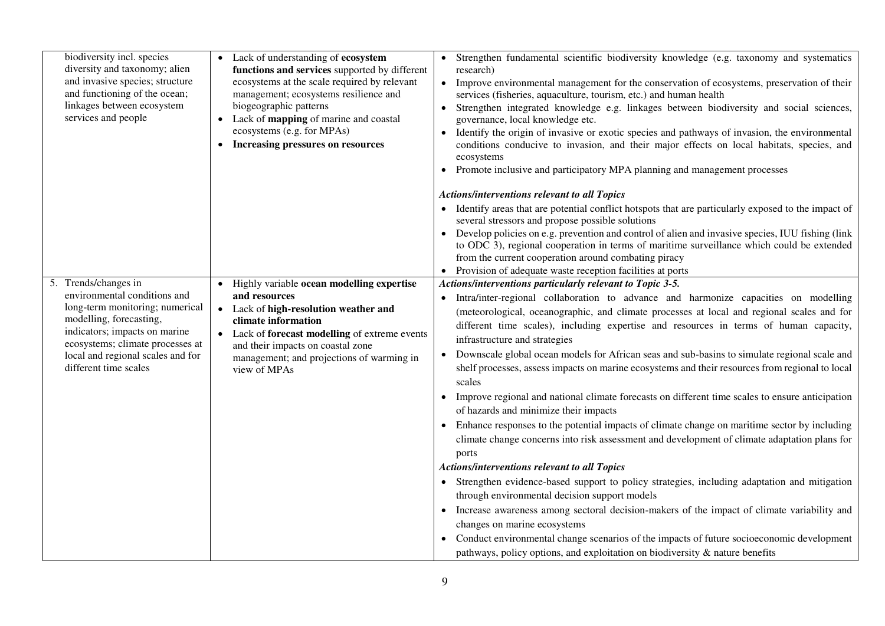| biodiversity incl. species<br>diversity and taxonomy; alien<br>and invasive species; structure<br>and functioning of the ocean;<br>linkages between ecosystem<br>services and people                                                               | • Lack of understanding of ecosystem<br>functions and services supported by different<br>ecosystems at the scale required by relevant<br>management; ecosystems resilience and<br>biogeographic patterns<br>• Lack of mapping of marine and coastal<br>ecosystems (e.g. for MPAs)<br>Increasing pressures on resources | • Strengthen fundamental scientific biodiversity knowledge (e.g. taxonomy and systematics<br>research)<br>Improve environmental management for the conservation of ecosystems, preservation of their<br>$\bullet$<br>services (fisheries, aquaculture, tourism, etc.) and human health<br>Strengthen integrated knowledge e.g. linkages between biodiversity and social sciences,<br>governance, local knowledge etc.<br>Identify the origin of invasive or exotic species and pathways of invasion, the environmental<br>conditions conducive to invasion, and their major effects on local habitats, species, and<br>ecosystems<br>Promote inclusive and participatory MPA planning and management processes                                                                                                                                                                                                                                                                                                                                                                                                                                                                                                                                                                                                                                                                                                                                                                 |
|----------------------------------------------------------------------------------------------------------------------------------------------------------------------------------------------------------------------------------------------------|------------------------------------------------------------------------------------------------------------------------------------------------------------------------------------------------------------------------------------------------------------------------------------------------------------------------|--------------------------------------------------------------------------------------------------------------------------------------------------------------------------------------------------------------------------------------------------------------------------------------------------------------------------------------------------------------------------------------------------------------------------------------------------------------------------------------------------------------------------------------------------------------------------------------------------------------------------------------------------------------------------------------------------------------------------------------------------------------------------------------------------------------------------------------------------------------------------------------------------------------------------------------------------------------------------------------------------------------------------------------------------------------------------------------------------------------------------------------------------------------------------------------------------------------------------------------------------------------------------------------------------------------------------------------------------------------------------------------------------------------------------------------------------------------------------------|
|                                                                                                                                                                                                                                                    |                                                                                                                                                                                                                                                                                                                        | <b>Actions/interventions relevant to all Topics</b><br>Identify areas that are potential conflict hotspots that are particularly exposed to the impact of<br>several stressors and propose possible solutions<br>Develop policies on e.g. prevention and control of alien and invasive species, IUU fishing (link<br>to ODC 3), regional cooperation in terms of maritime surveillance which could be extended<br>from the current cooperation around combating piracy<br>Provision of adequate waste reception facilities at ports<br>$\bullet$                                                                                                                                                                                                                                                                                                                                                                                                                                                                                                                                                                                                                                                                                                                                                                                                                                                                                                                               |
| Trends/changes in<br>environmental conditions and<br>long-term monitoring; numerical<br>modelling, forecasting,<br>indicators; impacts on marine<br>ecosystems; climate processes at<br>local and regional scales and for<br>different time scales | Highly variable ocean modelling expertise<br>$\bullet$<br>and resources<br>Lack of high-resolution weather and<br>$\bullet$<br>climate information<br>• Lack of forecast modelling of extreme events<br>and their impacts on coastal zone<br>management; and projections of warming in<br>view of MPAs                 | Actions/interventions particularly relevant to Topic 3-5.<br>Intra/inter-regional collaboration to advance and harmonize capacities on modelling<br>(meteorological, oceanographic, and climate processes at local and regional scales and for<br>different time scales), including expertise and resources in terms of human capacity,<br>infrastructure and strategies<br>Downscale global ocean models for African seas and sub-basins to simulate regional scale and<br>shelf processes, assess impacts on marine ecosystems and their resources from regional to local<br>scales<br>Improve regional and national climate forecasts on different time scales to ensure anticipation<br>of hazards and minimize their impacts<br>Enhance responses to the potential impacts of climate change on maritime sector by including<br>climate change concerns into risk assessment and development of climate adaptation plans for<br>ports<br><b>Actions/interventions relevant to all Topics</b><br>Strengthen evidence-based support to policy strategies, including adaptation and mitigation<br>through environmental decision support models<br>Increase awareness among sectoral decision-makers of the impact of climate variability and<br>$\bullet$<br>changes on marine ecosystems<br>• Conduct environmental change scenarios of the impacts of future socioeconomic development<br>pathways, policy options, and exploitation on biodiversity $\&$ nature benefits |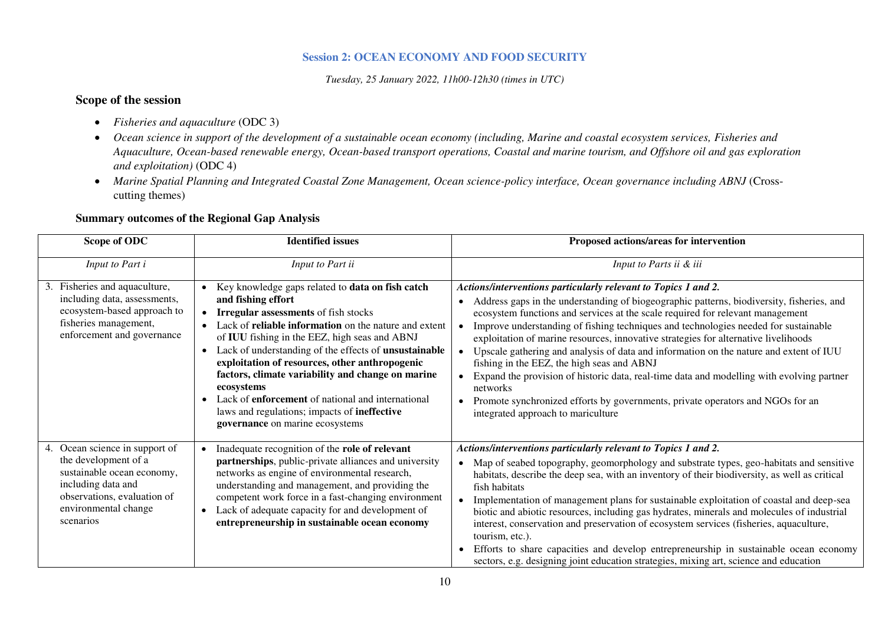### **Session 2: OCEAN ECONOMY AND FOOD SECURITY**

*Tuesday, 25 January 2022, 11h00-12h30 (times in UTC)* 

# **Scope of the session**

- *Fisheries and aquaculture* (ODC 3)
- *Ocean science in support of the development of a sustainable ocean economy (including, Marine and coastal ecosystem services, Fisheries and Aquaculture, Ocean-based renewable energy, Ocean-based transport operations, Coastal and marine tourism, and Offshore oil and gas exploration and exploitation)* (ODC 4)
- *Marine Spatial Planning and Integrated Coastal Zone Management, Ocean science-policy interface, Ocean governance including ABNJ* (Crosscutting themes)

| Scope of ODC                                                                                                                                                                | <b>Identified issues</b>                                                                                                                                                                                                                                                                                                                                                                                                                                                                                                                                                  | Proposed actions/areas for intervention                                                                                                                                                                                                                                                                                                                                                                                                                                                                                                                                                                                                                                                                                                                                                                                                     |
|-----------------------------------------------------------------------------------------------------------------------------------------------------------------------------|---------------------------------------------------------------------------------------------------------------------------------------------------------------------------------------------------------------------------------------------------------------------------------------------------------------------------------------------------------------------------------------------------------------------------------------------------------------------------------------------------------------------------------------------------------------------------|---------------------------------------------------------------------------------------------------------------------------------------------------------------------------------------------------------------------------------------------------------------------------------------------------------------------------------------------------------------------------------------------------------------------------------------------------------------------------------------------------------------------------------------------------------------------------------------------------------------------------------------------------------------------------------------------------------------------------------------------------------------------------------------------------------------------------------------------|
| Input to Part i                                                                                                                                                             | Input to Part ii                                                                                                                                                                                                                                                                                                                                                                                                                                                                                                                                                          | Input to Parts ii & iii                                                                                                                                                                                                                                                                                                                                                                                                                                                                                                                                                                                                                                                                                                                                                                                                                     |
| Fisheries and aquaculture,<br>3.<br>including data, assessments,<br>ecosystem-based approach to<br>fisheries management,<br>enforcement and governance                      | Key knowledge gaps related to data on fish catch<br>and fishing effort<br><b>Irregular assessments</b> of fish stocks<br>Lack of reliable information on the nature and extent<br>of IUU fishing in the EEZ, high seas and ABNJ<br>Lack of understanding of the effects of unsustainable<br>$\bullet$<br>exploitation of resources, other anthropogenic<br>factors, climate variability and change on marine<br>ecosystems<br>Lack of <b>enforcement</b> of national and international<br>laws and regulations; impacts of ineffective<br>governance on marine ecosystems | Actions/interventions particularly relevant to Topics 1 and 2.<br>Address gaps in the understanding of biogeographic patterns, biodiversity, fisheries, and<br>ecosystem functions and services at the scale required for relevant management<br>Improve understanding of fishing techniques and technologies needed for sustainable<br>$\bullet$<br>exploitation of marine resources, innovative strategies for alternative livelihoods<br>Upscale gathering and analysis of data and information on the nature and extent of IUU<br>$\bullet$<br>fishing in the EEZ, the high seas and ABNJ<br>Expand the provision of historic data, real-time data and modelling with evolving partner<br>networks<br>Promote synchronized efforts by governments, private operators and NGOs for an<br>$\bullet$<br>integrated approach to mariculture |
| Ocean science in support of<br>the development of a<br>sustainable ocean economy,<br>including data and<br>observations, evaluation of<br>environmental change<br>scenarios | Inadequate recognition of the role of relevant<br>partnerships, public-private alliances and university<br>networks as engine of environmental research,<br>understanding and management, and providing the<br>competent work force in a fast-changing environment<br>Lack of adequate capacity for and development of<br>entrepreneurship in sustainable ocean economy                                                                                                                                                                                                   | Actions/interventions particularly relevant to Topics 1 and 2.<br>Map of seabed topography, geomorphology and substrate types, geo-habitats and sensitive<br>$\bullet$<br>habitats, describe the deep sea, with an inventory of their biodiversity, as well as critical<br>fish habitats<br>Implementation of management plans for sustainable exploitation of coastal and deep-sea<br>$\bullet$<br>biotic and abiotic resources, including gas hydrates, minerals and molecules of industrial<br>interest, conservation and preservation of ecosystem services (fisheries, aquaculture,<br>tourism, etc.).<br>Efforts to share capacities and develop entrepreneurship in sustainable ocean economy<br>sectors, e.g. designing joint education strategies, mixing art, science and education                                               |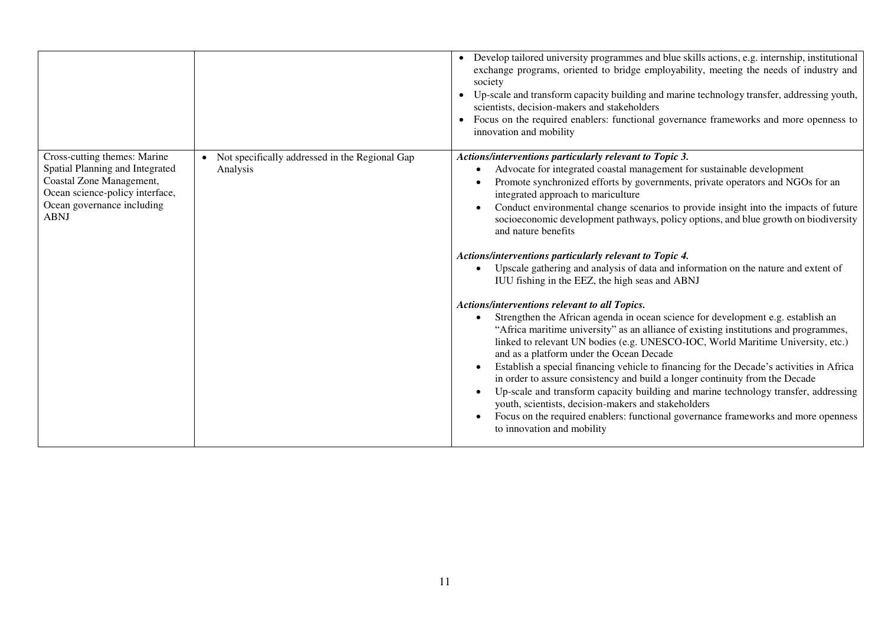|                                                                                                                                                                             |                                                              | • Develop tailored university programmes and blue skills actions, e.g. internship, institutional<br>exchange programs, oriented to bridge employability, meeting the needs of industry and<br>society<br>Up-scale and transform capacity building and marine technology transfer, addressing youth,<br>scientists, decision-makers and stakeholders<br>Focus on the required enablers: functional governance frameworks and more openness to<br>$\bullet$<br>innovation and mobility                                                                                                                                                                                                                                                                                                                    |
|-----------------------------------------------------------------------------------------------------------------------------------------------------------------------------|--------------------------------------------------------------|---------------------------------------------------------------------------------------------------------------------------------------------------------------------------------------------------------------------------------------------------------------------------------------------------------------------------------------------------------------------------------------------------------------------------------------------------------------------------------------------------------------------------------------------------------------------------------------------------------------------------------------------------------------------------------------------------------------------------------------------------------------------------------------------------------|
| Cross-cutting themes: Marine<br>Spatial Planning and Integrated<br>Coastal Zone Management,<br>Ocean science-policy interface,<br>Ocean governance including<br><b>ABNJ</b> | • Not specifically addressed in the Regional Gap<br>Analysis | Actions/interventions particularly relevant to Topic 3.<br>Advocate for integrated coastal management for sustainable development<br>Promote synchronized efforts by governments, private operators and NGOs for an<br>integrated approach to mariculture<br>Conduct environmental change scenarios to provide insight into the impacts of future<br>socioeconomic development pathways, policy options, and blue growth on biodiversity<br>and nature benefits<br>Actions/interventions particularly relevant to Topic 4.<br>Upscale gathering and analysis of data and information on the nature and extent of<br>IUU fishing in the EEZ, the high seas and ABNJ<br>Actions/interventions relevant to all Topics.<br>Strengthen the African agenda in ocean science for development e.g. establish an |
|                                                                                                                                                                             |                                                              | "Africa maritime university" as an alliance of existing institutions and programmes,<br>linked to relevant UN bodies (e.g. UNESCO-IOC, World Maritime University, etc.)<br>and as a platform under the Ocean Decade<br>Establish a special financing vehicle to financing for the Decade's activities in Africa<br>in order to assure consistency and build a longer continuity from the Decade<br>Up-scale and transform capacity building and marine technology transfer, addressing<br>youth, scientists, decision-makers and stakeholders<br>Focus on the required enablers: functional governance frameworks and more openness<br>to innovation and mobility                                                                                                                                       |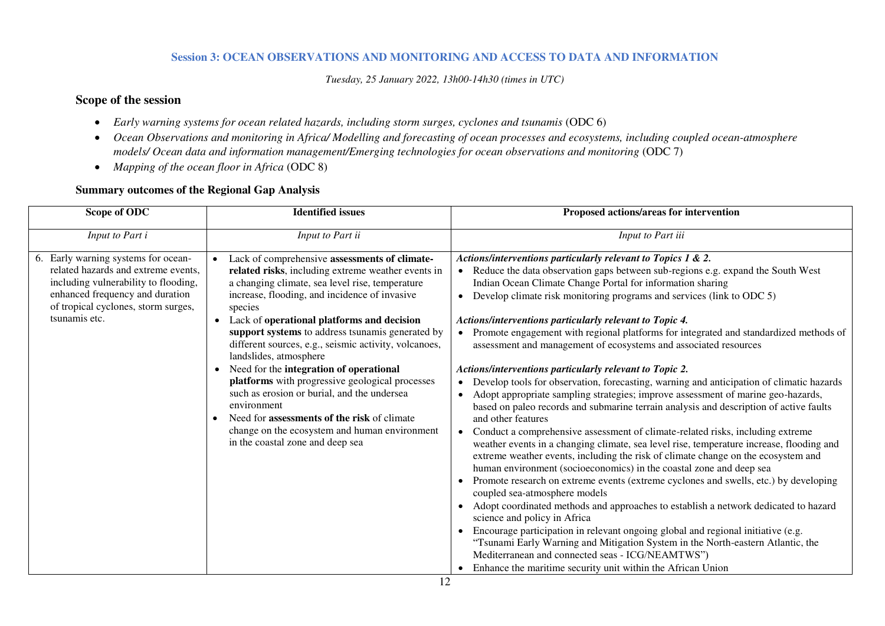#### **Session 3: OCEAN OBSERVATIONS AND MONITORING AND ACCESS TO DATA AND INFORMATION**

*Tuesday, 25 January 2022, 13h00-14h30 (times in UTC)* 

# **Scope of the session**

- *Early warning systems for ocean related hazards, including storm surges, cyclones and tsunamis* (ODC 6)
- *Ocean Observations and monitoring in Africa/ Modelling and forecasting of ocean processes and ecosystems, including coupled ocean-atmosphere models/ Ocean data and information management/Emerging technologies for ocean observations and monitoring (ODC 7)*
- *Mapping of the ocean floor in Africa* (ODC 8)

| Scope of ODC                                                                                                                                                                                                  | <b>Identified</b> issues                                                                                                                                                                                                                                                                                                                                                                                                                                                                                                                                                                                                                                                                                                    | Proposed actions/areas for intervention                                                                                                                                                                                                                                                                                                                                                                                                                                                                                                                                                                                                                                                                                                                                                                                                                                                                                                                                                                                                                                                                                                                                                                                                                                                                                                                                                                                                                                                                                                                                                                                                                                                                                                                                                                                                                  |
|---------------------------------------------------------------------------------------------------------------------------------------------------------------------------------------------------------------|-----------------------------------------------------------------------------------------------------------------------------------------------------------------------------------------------------------------------------------------------------------------------------------------------------------------------------------------------------------------------------------------------------------------------------------------------------------------------------------------------------------------------------------------------------------------------------------------------------------------------------------------------------------------------------------------------------------------------------|----------------------------------------------------------------------------------------------------------------------------------------------------------------------------------------------------------------------------------------------------------------------------------------------------------------------------------------------------------------------------------------------------------------------------------------------------------------------------------------------------------------------------------------------------------------------------------------------------------------------------------------------------------------------------------------------------------------------------------------------------------------------------------------------------------------------------------------------------------------------------------------------------------------------------------------------------------------------------------------------------------------------------------------------------------------------------------------------------------------------------------------------------------------------------------------------------------------------------------------------------------------------------------------------------------------------------------------------------------------------------------------------------------------------------------------------------------------------------------------------------------------------------------------------------------------------------------------------------------------------------------------------------------------------------------------------------------------------------------------------------------------------------------------------------------------------------------------------------------|
| Input to Part i                                                                                                                                                                                               | Input to Part ii                                                                                                                                                                                                                                                                                                                                                                                                                                                                                                                                                                                                                                                                                                            | Input to Part iii                                                                                                                                                                                                                                                                                                                                                                                                                                                                                                                                                                                                                                                                                                                                                                                                                                                                                                                                                                                                                                                                                                                                                                                                                                                                                                                                                                                                                                                                                                                                                                                                                                                                                                                                                                                                                                        |
| 6. Early warning systems for ocean-<br>related hazards and extreme events,<br>including vulnerability to flooding,<br>enhanced frequency and duration<br>of tropical cyclones, storm surges,<br>tsunamis etc. | Lack of comprehensive assessments of climate-<br>related risks, including extreme weather events in<br>a changing climate, sea level rise, temperature<br>increase, flooding, and incidence of invasive<br>species<br>Lack of operational platforms and decision<br>$\bullet$<br>support systems to address tsunamis generated by<br>different sources, e.g., seismic activity, volcanoes,<br>landslides, atmosphere<br>Need for the integration of operational<br>platforms with progressive geological processes<br>such as erosion or burial, and the undersea<br>environment<br>Need for <b>assessments of the risk</b> of climate<br>change on the ecosystem and human environment<br>in the coastal zone and deep sea | Actions/interventions particularly relevant to Topics 1 & 2.<br>Reduce the data observation gaps between sub-regions e.g. expand the South West<br>$\bullet$<br>Indian Ocean Climate Change Portal for information sharing<br>Develop climate risk monitoring programs and services (link to ODC 5)<br>$\bullet$<br>Actions/interventions particularly relevant to Topic 4.<br>Promote engagement with regional platforms for integrated and standardized methods of<br>assessment and management of ecosystems and associated resources<br>Actions/interventions particularly relevant to Topic 2.<br>Develop tools for observation, forecasting, warning and anticipation of climatic hazards<br>Adopt appropriate sampling strategies; improve assessment of marine geo-hazards,<br>$\bullet$<br>based on paleo records and submarine terrain analysis and description of active faults<br>and other features<br>Conduct a comprehensive assessment of climate-related risks, including extreme<br>$\bullet$<br>weather events in a changing climate, sea level rise, temperature increase, flooding and<br>extreme weather events, including the risk of climate change on the ecosystem and<br>human environment (socioeconomics) in the coastal zone and deep sea<br>Promote research on extreme events (extreme cyclones and swells, etc.) by developing<br>$\bullet$<br>coupled sea-atmosphere models<br>Adopt coordinated methods and approaches to establish a network dedicated to hazard<br>$\bullet$<br>science and policy in Africa<br>Encourage participation in relevant ongoing global and regional initiative (e.g.<br>$\bullet$<br>"Tsunami Early Warning and Mitigation System in the North-eastern Atlantic, the<br>Mediterranean and connected seas - ICG/NEAMTWS")<br>Enhance the maritime security unit within the African Union |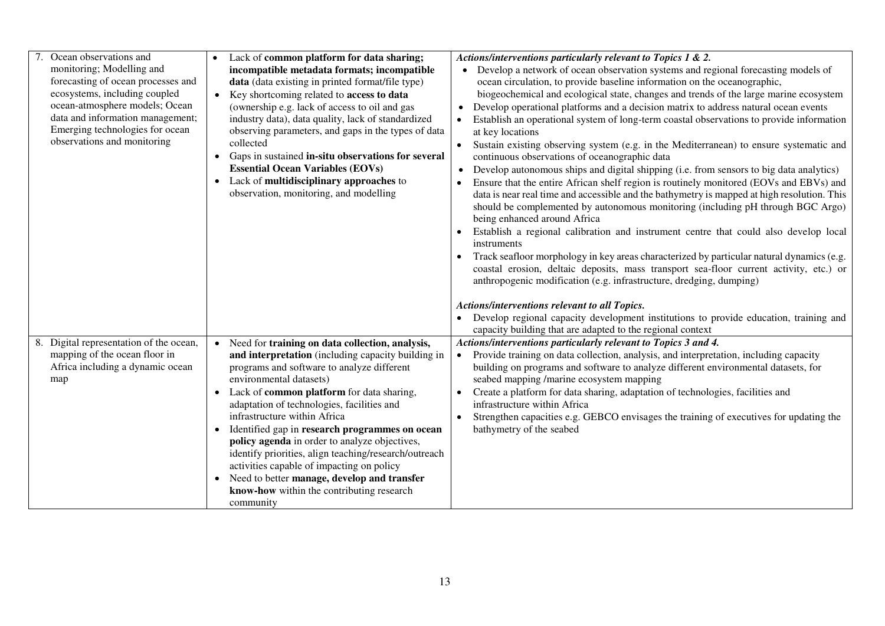| Ocean observations and<br>monitoring; Modelling and<br>forecasting of ocean processes and<br>ecosystems, including coupled<br>ocean-atmosphere models; Ocean<br>data and information management;<br>Emerging technologies for ocean<br>observations and monitoring | • Lack of common platform for data sharing;<br>incompatible metadata formats; incompatible<br>data (data existing in printed format/file type)<br>Key shortcoming related to access to data<br>$\bullet$<br>(ownership e.g. lack of access to oil and gas<br>industry data), data quality, lack of standardized<br>observing parameters, and gaps in the types of data<br>collected<br>Gaps in sustained in-situ observations for several<br><b>Essential Ocean Variables (EOVs)</b><br>• Lack of multidisciplinary approaches to<br>observation, monitoring, and modelling                                                         | Actions/interventions particularly relevant to Topics 1 & 2.<br>Develop a network of ocean observation systems and regional forecasting models of<br>ocean circulation, to provide baseline information on the oceanographic,<br>biogeochemical and ecological state, changes and trends of the large marine ecosystem<br>Develop operational platforms and a decision matrix to address natural ocean events<br>Establish an operational system of long-term coastal observations to provide information<br>at key locations<br>Sustain existing observing system (e.g. in the Mediterranean) to ensure systematic and<br>continuous observations of oceanographic data<br>Develop autonomous ships and digital shipping (i.e. from sensors to big data analytics)<br>Ensure that the entire African shelf region is routinely monitored (EOVs and EBVs) and<br>data is near real time and accessible and the bathymetry is mapped at high resolution. This<br>should be complemented by autonomous monitoring (including pH through BGC Argo)<br>being enhanced around Africa<br>Establish a regional calibration and instrument centre that could also develop local<br>instruments<br>Track seafloor morphology in key areas characterized by particular natural dynamics (e.g.<br>coastal erosion, deltaic deposits, mass transport sea-floor current activity, etc.) or<br>anthropogenic modification (e.g. infrastructure, dredging, dumping)<br>Actions/interventions relevant to all Topics.<br>Develop regional capacity development institutions to provide education, training and<br>capacity building that are adapted to the regional context |
|--------------------------------------------------------------------------------------------------------------------------------------------------------------------------------------------------------------------------------------------------------------------|-------------------------------------------------------------------------------------------------------------------------------------------------------------------------------------------------------------------------------------------------------------------------------------------------------------------------------------------------------------------------------------------------------------------------------------------------------------------------------------------------------------------------------------------------------------------------------------------------------------------------------------|--------------------------------------------------------------------------------------------------------------------------------------------------------------------------------------------------------------------------------------------------------------------------------------------------------------------------------------------------------------------------------------------------------------------------------------------------------------------------------------------------------------------------------------------------------------------------------------------------------------------------------------------------------------------------------------------------------------------------------------------------------------------------------------------------------------------------------------------------------------------------------------------------------------------------------------------------------------------------------------------------------------------------------------------------------------------------------------------------------------------------------------------------------------------------------------------------------------------------------------------------------------------------------------------------------------------------------------------------------------------------------------------------------------------------------------------------------------------------------------------------------------------------------------------------------------------------------------------------------------------------------------------------------------|
| 8. Digital representation of the ocean,<br>mapping of the ocean floor in<br>Africa including a dynamic ocean<br>map                                                                                                                                                | • Need for training on data collection, analysis,<br>and interpretation (including capacity building in<br>programs and software to analyze different<br>environmental datasets)<br>• Lack of common platform for data sharing,<br>adaptation of technologies, facilities and<br>infrastructure within Africa<br>• Identified gap in research programmes on ocean<br>policy agenda in order to analyze objectives,<br>identify priorities, align teaching/research/outreach<br>activities capable of impacting on policy<br>• Need to better manage, develop and transfer<br>know-how within the contributing research<br>community | Actions/interventions particularly relevant to Topics 3 and 4.<br>Provide training on data collection, analysis, and interpretation, including capacity<br>building on programs and software to analyze different environmental datasets, for<br>seabed mapping /marine ecosystem mapping<br>Create a platform for data sharing, adaptation of technologies, facilities and<br>infrastructure within Africa<br>Strengthen capacities e.g. GEBCO envisages the training of executives for updating the<br>bathymetry of the seabed                                                                                                                                                                                                                                                                                                                                                                                                                                                                                                                                                                                                                                                                                                                                                                                                                                                                                                                                                                                                                                                                                                                            |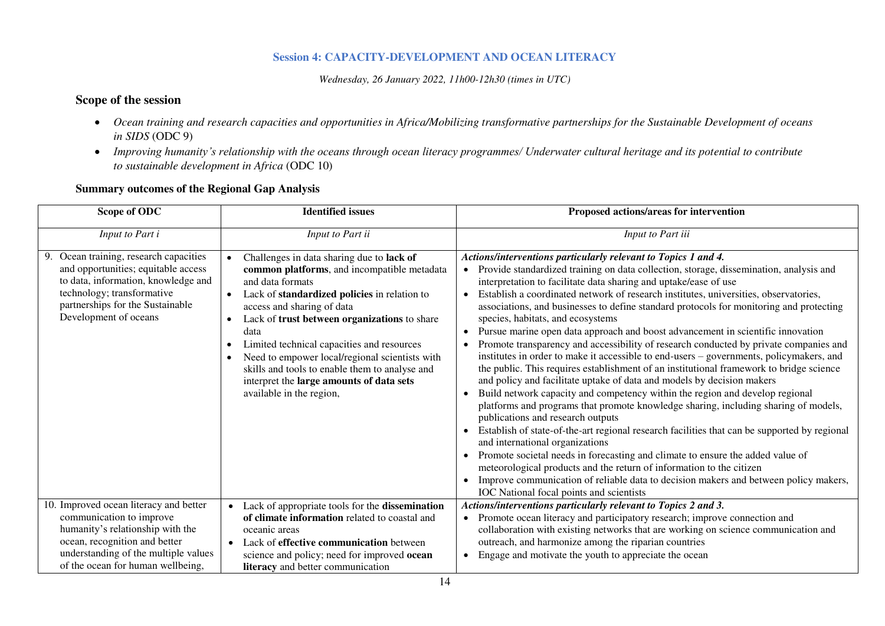# **Session 4: CAPACITY-DEVELOPMENT AND OCEAN LITERACY**

*Wednesday, 26 January 2022, 11h00-12h30 (times in UTC)* 

# **Scope of the session**

- *Ocean training and research capacities and opportunities in Africa/Mobilizing transformative partnerships for the Sustainable Development of oceans in SIDS* (ODC 9)
- Improving humanity's relationship with the oceans through ocean literacy programmes/ Underwater cultural heritage and its potential to contribute *to sustainable development in Africa* (ODC 10)

| Scope of ODC                                                                                                                                                                                                    | <b>Identified</b> issues                                                                                                                                                                                                                                                                                                                                                                                                                                                                                            | Proposed actions/areas for intervention                                                                                                                                                                                                                                                                                                                                                                                                                                                                                                                                                                                                                                                                                                                                                                                                                                                                                                                                                                                                                                                                                                                                                                                                                                                                                                                                                                                                                                                                                                         |
|-----------------------------------------------------------------------------------------------------------------------------------------------------------------------------------------------------------------|---------------------------------------------------------------------------------------------------------------------------------------------------------------------------------------------------------------------------------------------------------------------------------------------------------------------------------------------------------------------------------------------------------------------------------------------------------------------------------------------------------------------|-------------------------------------------------------------------------------------------------------------------------------------------------------------------------------------------------------------------------------------------------------------------------------------------------------------------------------------------------------------------------------------------------------------------------------------------------------------------------------------------------------------------------------------------------------------------------------------------------------------------------------------------------------------------------------------------------------------------------------------------------------------------------------------------------------------------------------------------------------------------------------------------------------------------------------------------------------------------------------------------------------------------------------------------------------------------------------------------------------------------------------------------------------------------------------------------------------------------------------------------------------------------------------------------------------------------------------------------------------------------------------------------------------------------------------------------------------------------------------------------------------------------------------------------------|
| Input to Part i                                                                                                                                                                                                 | Input to Part ii                                                                                                                                                                                                                                                                                                                                                                                                                                                                                                    | Input to Part iii                                                                                                                                                                                                                                                                                                                                                                                                                                                                                                                                                                                                                                                                                                                                                                                                                                                                                                                                                                                                                                                                                                                                                                                                                                                                                                                                                                                                                                                                                                                               |
| 9. Ocean training, research capacities<br>and opportunities; equitable access<br>to data, information, knowledge and<br>technology; transformative<br>partnerships for the Sustainable<br>Development of oceans | Challenges in data sharing due to lack of<br>$\bullet$<br>common platforms, and incompatible metadata<br>and data formats<br>Lack of standardized policies in relation to<br>$\bullet$<br>access and sharing of data<br>Lack of trust between organizations to share<br>$\bullet$<br>data<br>Limited technical capacities and resources<br>Need to empower local/regional scientists with<br>skills and tools to enable them to analyse and<br>interpret the large amounts of data sets<br>available in the region, | Actions/interventions particularly relevant to Topics 1 and 4.<br>• Provide standardized training on data collection, storage, dissemination, analysis and<br>interpretation to facilitate data sharing and uptake/ease of use<br>Establish a coordinated network of research institutes, universities, observatories,<br>associations, and businesses to define standard protocols for monitoring and protecting<br>species, habitats, and ecosystems<br>Pursue marine open data approach and boost advancement in scientific innovation<br>Promote transparency and accessibility of research conducted by private companies and<br>institutes in order to make it accessible to end-users - governments, policymakers, and<br>the public. This requires establishment of an institutional framework to bridge science<br>and policy and facilitate uptake of data and models by decision makers<br>Build network capacity and competency within the region and develop regional<br>platforms and programs that promote knowledge sharing, including sharing of models,<br>publications and research outputs<br>Establish of state-of-the-art regional research facilities that can be supported by regional<br>and international organizations<br>Promote societal needs in forecasting and climate to ensure the added value of<br>meteorological products and the return of information to the citizen<br>Improve communication of reliable data to decision makers and between policy makers,<br>IOC National focal points and scientists |
| 10. Improved ocean literacy and better<br>communication to improve<br>humanity's relationship with the                                                                                                          | Lack of appropriate tools for the dissemination<br>$\bullet$<br>of climate information related to coastal and<br>oceanic areas                                                                                                                                                                                                                                                                                                                                                                                      | Actions/interventions particularly relevant to Topics 2 and 3.<br>• Promote ocean literacy and participatory research; improve connection and<br>collaboration with existing networks that are working on science communication and                                                                                                                                                                                                                                                                                                                                                                                                                                                                                                                                                                                                                                                                                                                                                                                                                                                                                                                                                                                                                                                                                                                                                                                                                                                                                                             |
| ocean, recognition and better<br>understanding of the multiple values                                                                                                                                           | Lack of <b>effective communication</b> between<br>$\bullet$<br>science and policy; need for improved ocean                                                                                                                                                                                                                                                                                                                                                                                                          | outreach, and harmonize among the riparian countries<br>Engage and motivate the youth to appreciate the ocean<br>$\bullet$                                                                                                                                                                                                                                                                                                                                                                                                                                                                                                                                                                                                                                                                                                                                                                                                                                                                                                                                                                                                                                                                                                                                                                                                                                                                                                                                                                                                                      |
| of the ocean for human wellbeing,                                                                                                                                                                               | literacy and better communication                                                                                                                                                                                                                                                                                                                                                                                                                                                                                   |                                                                                                                                                                                                                                                                                                                                                                                                                                                                                                                                                                                                                                                                                                                                                                                                                                                                                                                                                                                                                                                                                                                                                                                                                                                                                                                                                                                                                                                                                                                                                 |